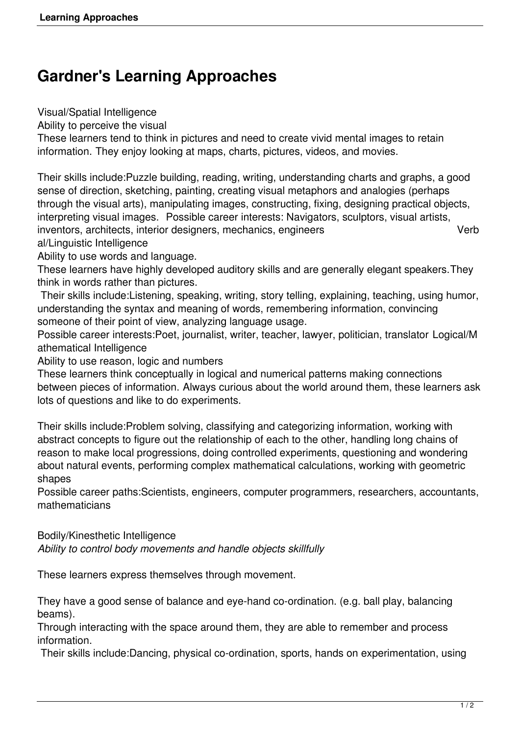## **Gardner's Learning Approaches**

Visual/Spatial Intelligence

Ability to perceive the visual

These learners tend to think in pictures and need to create vivid mental images to retain information. They enjoy looking at maps, charts, pictures, videos, and movies.

Their skills include:Puzzle building, reading, writing, understanding charts and graphs, a good sense of direction, sketching, painting, creating visual metaphors and analogies (perhaps through the visual arts), manipulating images, constructing, fixing, designing practical objects, interpreting visual images. Possible career interests: Navigators, sculptors, visual artists, inventors, architects, interior designers, mechanics, engineers verb verb al/Linguistic Intelligence

Ability to use words and language.

These learners have highly developed auditory skills and are generally elegant speakers.They think in words rather than pictures.

Their skills include:Listening, speaking, writing, story telling, explaining, teaching, using humor, understanding the syntax and meaning of words, remembering information, convincing someone of their point of view, analyzing language usage.

Possible career interests:Poet, journalist, writer, teacher, lawyer, politician, translator Logical/M athematical Intelligence

Ability to use reason, logic and numbers

These learners think conceptually in logical and numerical patterns making connections between pieces of information. Always curious about the world around them, these learners ask lots of questions and like to do experiments.

Their skills include:Problem solving, classifying and categorizing information, working with abstract concepts to figure out the relationship of each to the other, handling long chains of reason to make local progressions, doing controlled experiments, questioning and wondering about natural events, performing complex mathematical calculations, working with geometric shapes

Possible career paths:Scientists, engineers, computer programmers, researchers, accountants, mathematicians

Bodily/Kinesthetic Intelligence

*Ability to control body movements and handle objects skillfully*

These learners express themselves through movement.

They have a good sense of balance and eye-hand co-ordination. (e.g. ball play, balancing beams).

Through interacting with the space around them, they are able to remember and process information.

Their skills include:Dancing, physical co-ordination, sports, hands on experimentation, using